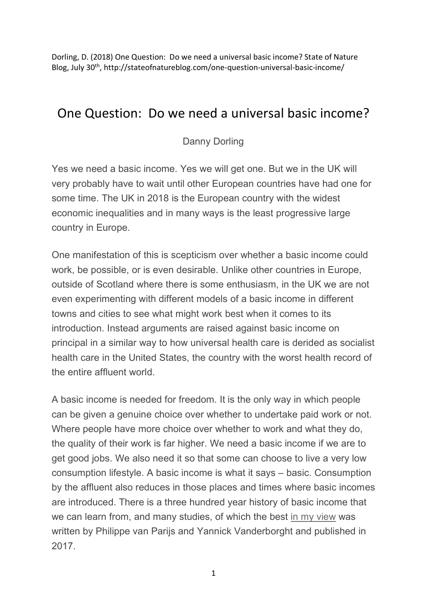Dorling, D. (2018) One Question: Do we need a universal basic income? State of Nature Blog, July 30th, http://stateofnatureblog.com/one-question-universal-basic-income/

## One Question: Do we need a universal basic income?

Danny Dorling

Yes we need a basic income. Yes we will get one. But we in the UK will very probably have to wait until other European countries have had one for some time. The UK in 2018 is the European country with the widest economic inequalities and in many ways is the least progressive large country in Europe.

One manifestation of this is scepticism over whether a basic income could work, be possible, or is even desirable. Unlike other countries in Europe, outside of Scotland where there is some enthusiasm, in the UK we are not even experimenting with different models of a basic income in different towns and cities to see what might work best when it comes to its introduction. Instead arguments are raised against basic income on principal in a similar way to how universal health care is derided as socialist health care in the United States, the country with the worst health record of the entire affluent world.

A basic income is needed for freedom. It is the only way in which people can be given a genuine choice over whether to undertake paid work or not. Where people have more choice over whether to work and what they do, the quality of their work is far higher. We need a basic income if we are to get good jobs. We also need it so that some can choose to live a very low consumption lifestyle. A basic income is what it says – basic. Consumption by the affluent also reduces in those places and times where basic incomes are introduced. There is a three hundred year history of basic income that we can learn from, and many studies, of which the best in my view was written by Philippe van Parijs and Yannick Vanderborght and published in 2017.

1